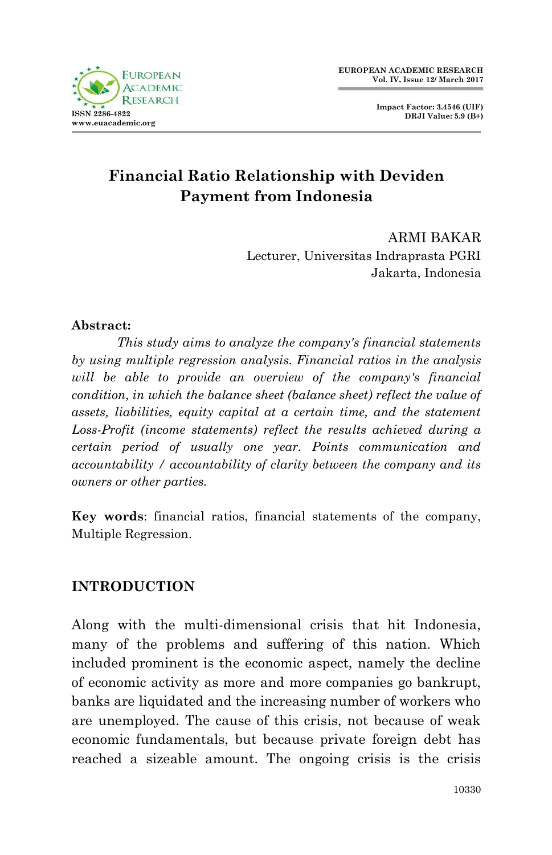

**Impact Factor: 3.4546 (UIF) DRJI Value: 5.9 (B+)**

# **Financial Ratio Relationship with Deviden Payment from Indonesia**

ARMI BAKAR Lecturer, Universitas Indraprasta PGRI Jakarta, Indonesia

#### **Abstract:**

*This study aims to analyze the company's financial statements by using multiple regression analysis. Financial ratios in the analysis will be able to provide an overview of the company's financial condition, in which the balance sheet (balance sheet) reflect the value of assets, liabilities, equity capital at a certain time, and the statement Loss-Profit (income statements) reflect the results achieved during a certain period of usually one year. Points communication and accountability / accountability of clarity between the company and its owners or other parties.*

**Key words**: financial ratios, financial statements of the company, Multiple Regression.

#### **INTRODUCTION**

Along with the multi-dimensional crisis that hit Indonesia, many of the problems and suffering of this nation. Which included prominent is the economic aspect, namely the decline of economic activity as more and more companies go bankrupt, banks are liquidated and the increasing number of workers who are unemployed. The cause of this crisis, not because of weak economic fundamentals, but because private foreign debt has reached a sizeable amount. The ongoing crisis is the crisis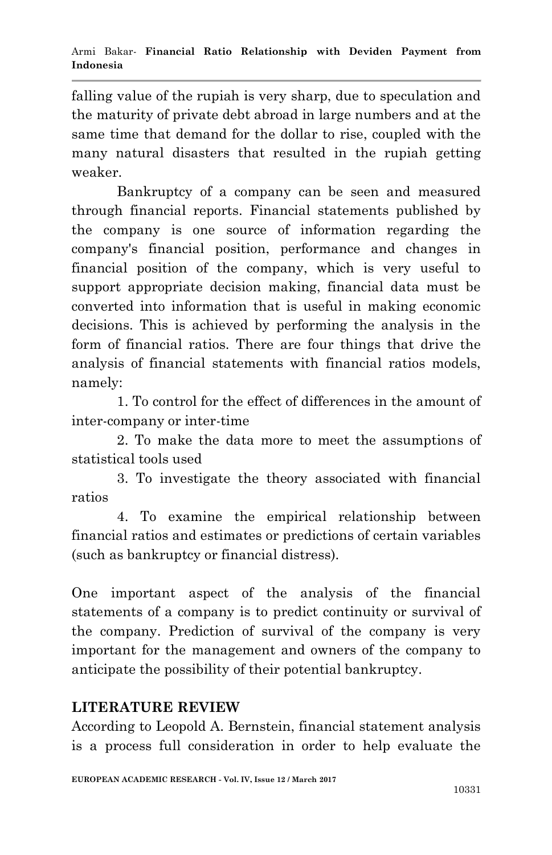falling value of the rupiah is very sharp, due to speculation and the maturity of private debt abroad in large numbers and at the same time that demand for the dollar to rise, coupled with the many natural disasters that resulted in the rupiah getting weaker.

Bankruptcy of a company can be seen and measured through financial reports. Financial statements published by the company is one source of information regarding the company's financial position, performance and changes in financial position of the company, which is very useful to support appropriate decision making, financial data must be converted into information that is useful in making economic decisions. This is achieved by performing the analysis in the form of financial ratios. There are four things that drive the analysis of financial statements with financial ratios models, namely:

1. To control for the effect of differences in the amount of inter-company or inter-time

2. To make the data more to meet the assumptions of statistical tools used

3. To investigate the theory associated with financial ratios

4. To examine the empirical relationship between financial ratios and estimates or predictions of certain variables (such as bankruptcy or financial distress).

One important aspect of the analysis of the financial statements of a company is to predict continuity or survival of the company. Prediction of survival of the company is very important for the management and owners of the company to anticipate the possibility of their potential bankruptcy.

## **LITERATURE REVIEW**

According to Leopold A. Bernstein, financial statement analysis is a process full consideration in order to help evaluate the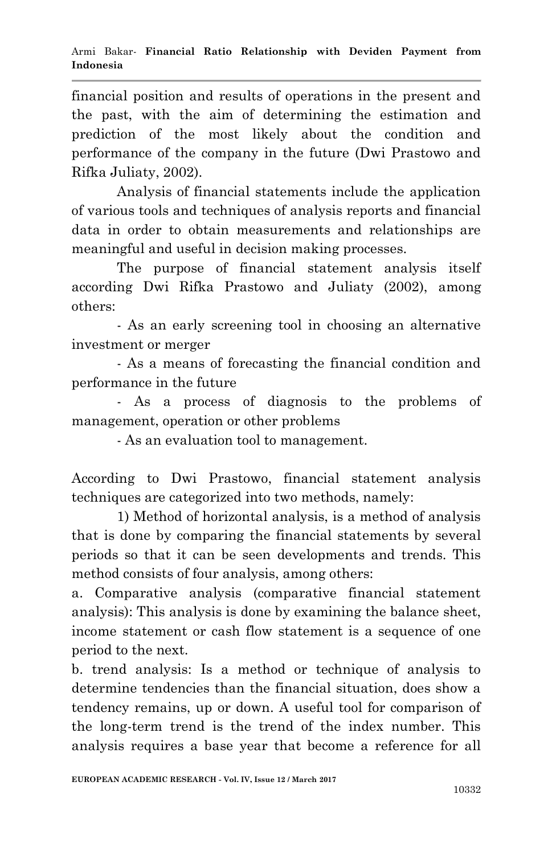financial position and results of operations in the present and the past, with the aim of determining the estimation and prediction of the most likely about the condition and performance of the company in the future (Dwi Prastowo and Rifka Juliaty, 2002).

Analysis of financial statements include the application of various tools and techniques of analysis reports and financial data in order to obtain measurements and relationships are meaningful and useful in decision making processes.

The purpose of financial statement analysis itself according Dwi Rifka Prastowo and Juliaty (2002), among others:

- As an early screening tool in choosing an alternative investment or merger

- As a means of forecasting the financial condition and performance in the future

- As a process of diagnosis to the problems of management, operation or other problems

- As an evaluation tool to management.

According to Dwi Prastowo, financial statement analysis techniques are categorized into two methods, namely:

1) Method of horizontal analysis, is a method of analysis that is done by comparing the financial statements by several periods so that it can be seen developments and trends. This method consists of four analysis, among others:

a. Comparative analysis (comparative financial statement analysis): This analysis is done by examining the balance sheet, income statement or cash flow statement is a sequence of one period to the next.

b. trend analysis: Is a method or technique of analysis to determine tendencies than the financial situation, does show a tendency remains, up or down. A useful tool for comparison of the long-term trend is the trend of the index number. This analysis requires a base year that become a reference for all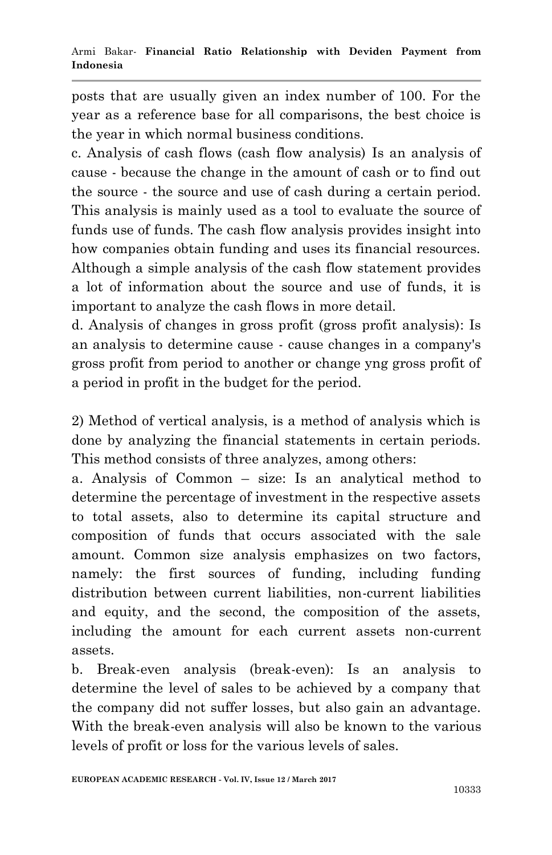posts that are usually given an index number of 100. For the year as a reference base for all comparisons, the best choice is the year in which normal business conditions.

c. Analysis of cash flows (cash flow analysis) Is an analysis of cause - because the change in the amount of cash or to find out the source - the source and use of cash during a certain period. This analysis is mainly used as a tool to evaluate the source of funds use of funds. The cash flow analysis provides insight into how companies obtain funding and uses its financial resources. Although a simple analysis of the cash flow statement provides a lot of information about the source and use of funds, it is important to analyze the cash flows in more detail.

d. Analysis of changes in gross profit (gross profit analysis): Is an analysis to determine cause - cause changes in a company's gross profit from period to another or change yng gross profit of a period in profit in the budget for the period.

2) Method of vertical analysis, is a method of analysis which is done by analyzing the financial statements in certain periods. This method consists of three analyzes, among others:

a. Analysis of Common – size: Is an analytical method to determine the percentage of investment in the respective assets to total assets, also to determine its capital structure and composition of funds that occurs associated with the sale amount. Common size analysis emphasizes on two factors, namely: the first sources of funding, including funding distribution between current liabilities, non-current liabilities and equity, and the second, the composition of the assets, including the amount for each current assets non-current assets.

b. Break-even analysis (break-even): Is an analysis to determine the level of sales to be achieved by a company that the company did not suffer losses, but also gain an advantage. With the break-even analysis will also be known to the various levels of profit or loss for the various levels of sales.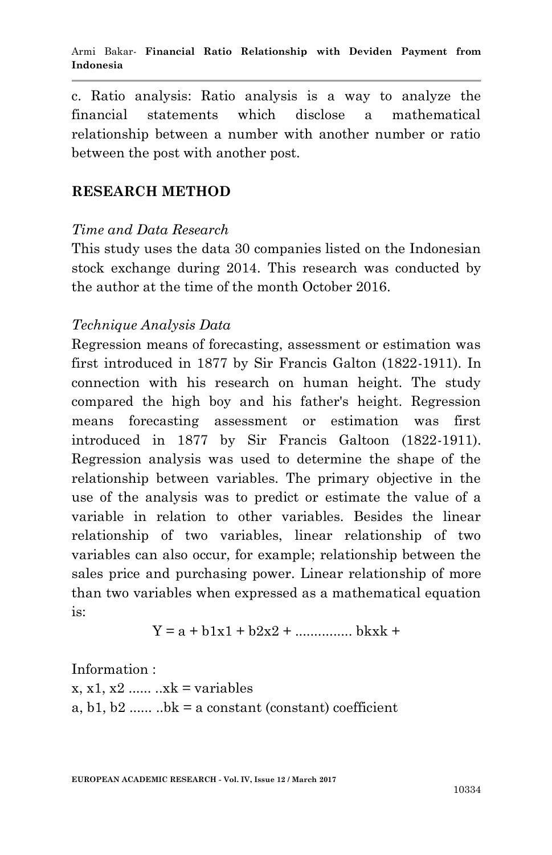c. Ratio analysis: Ratio analysis is a way to analyze the financial statements which disclose a mathematical relationship between a number with another number or ratio between the post with another post.

#### **RESEARCH METHOD**

#### *Time and Data Research*

This study uses the data 30 companies listed on the Indonesian stock exchange during 2014. This research was conducted by the author at the time of the month October 2016.

#### *Technique Analysis Data*

Regression means of forecasting, assessment or estimation was first introduced in 1877 by Sir Francis Galton (1822-1911). In connection with his research on human height. The study compared the high boy and his father's height. Regression means forecasting assessment or estimation was first introduced in 1877 by Sir Francis Galtoon (1822-1911). Regression analysis was used to determine the shape of the relationship between variables. The primary objective in the use of the analysis was to predict or estimate the value of a variable in relation to other variables. Besides the linear relationship of two variables, linear relationship of two variables can also occur, for example; relationship between the sales price and purchasing power. Linear relationship of more than two variables when expressed as a mathematical equation is:

$$
Y = a + b1x1 + b2x2 + \dotsb \dotsb bkxk +
$$

Information :

 $x, x1, x2, \ldots, xk = variables$ a, b1, b2 ......  $bk = a constant (constant) coefficient$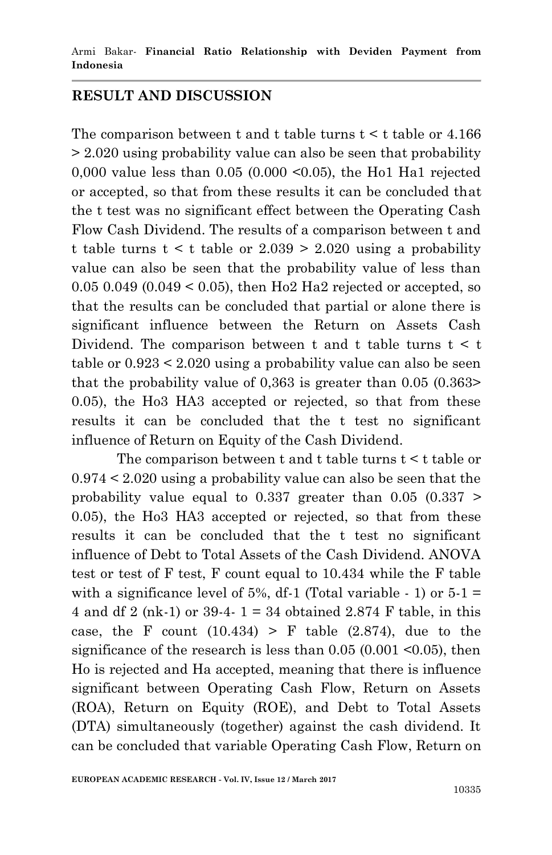## **RESULT AND DISCUSSION**

The comparison between  $t$  and  $t$  table turns  $t < t$  table or 4.166 > 2.020 using probability value can also be seen that probability 0,000 value less than 0.05 (0.000 <0.05), the Ho1 Ha1 rejected or accepted, so that from these results it can be concluded that the t test was no significant effect between the Operating Cash Flow Cash Dividend. The results of a comparison between t and t table turns  $t \leq t$  table or  $2.039 \geq 2.020$  using a probability value can also be seen that the probability value of less than  $0.05$  0.049 (0.049 < 0.05), then Ho2 Ha2 rejected or accepted, so that the results can be concluded that partial or alone there is significant influence between the Return on Assets Cash Dividend. The comparison between t and t table turns  $t < t$ table or 0.923 < 2.020 using a probability value can also be seen that the probability value of 0,363 is greater than 0.05 (0.363> 0.05), the Ho3 HA3 accepted or rejected, so that from these results it can be concluded that the t test no significant influence of Return on Equity of the Cash Dividend.

The comparison between t and t table turns t < t table or 0.974 < 2.020 using a probability value can also be seen that the probability value equal to  $0.337$  greater than  $0.05$   $(0.337)$ 0.05), the Ho3 HA3 accepted or rejected, so that from these results it can be concluded that the t test no significant influence of Debt to Total Assets of the Cash Dividend. ANOVA test or test of F test, F count equal to 10.434 while the F table with a significance level of 5%, df-1 (Total variable  $-1$ ) or  $5-1 =$ 4 and df 2 (nk-1) or 39-4- 1 = 34 obtained 2.874 F table, in this case, the F count  $(10.434) > F$  table  $(2.874)$ , due to the significance of the research is less than  $0.05$  (0.001  $\leq 0.05$ ), then Ho is rejected and Ha accepted, meaning that there is influence significant between Operating Cash Flow, Return on Assets (ROA), Return on Equity (ROE), and Debt to Total Assets (DTA) simultaneously (together) against the cash dividend. It can be concluded that variable Operating Cash Flow, Return on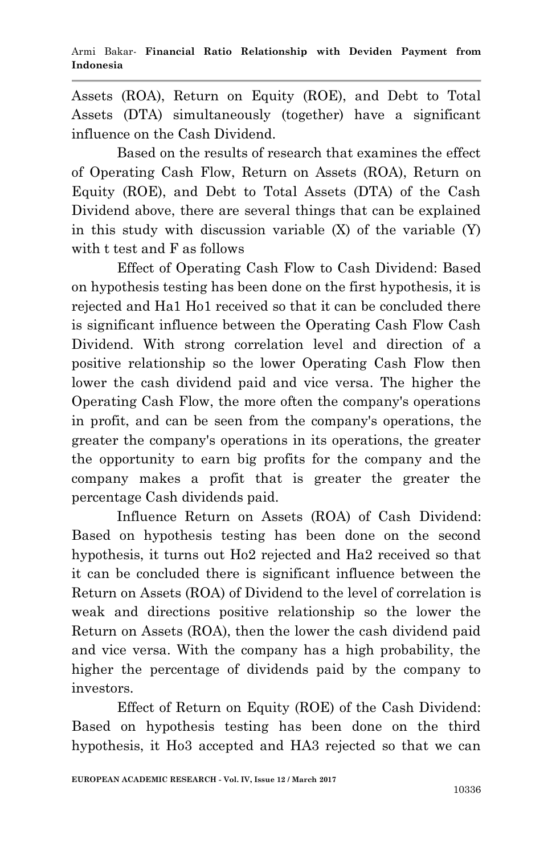Assets (ROA), Return on Equity (ROE), and Debt to Total Assets (DTA) simultaneously (together) have a significant influence on the Cash Dividend.

Based on the results of research that examines the effect of Operating Cash Flow, Return on Assets (ROA), Return on Equity (ROE), and Debt to Total Assets (DTA) of the Cash Dividend above, there are several things that can be explained in this study with discussion variable (X) of the variable (Y) with t test and F as follows

Effect of Operating Cash Flow to Cash Dividend: Based on hypothesis testing has been done on the first hypothesis, it is rejected and Ha1 Ho1 received so that it can be concluded there is significant influence between the Operating Cash Flow Cash Dividend. With strong correlation level and direction of a positive relationship so the lower Operating Cash Flow then lower the cash dividend paid and vice versa. The higher the Operating Cash Flow, the more often the company's operations in profit, and can be seen from the company's operations, the greater the company's operations in its operations, the greater the opportunity to earn big profits for the company and the company makes a profit that is greater the greater the percentage Cash dividends paid.

Influence Return on Assets (ROA) of Cash Dividend: Based on hypothesis testing has been done on the second hypothesis, it turns out Ho2 rejected and Ha2 received so that it can be concluded there is significant influence between the Return on Assets (ROA) of Dividend to the level of correlation is weak and directions positive relationship so the lower the Return on Assets (ROA), then the lower the cash dividend paid and vice versa. With the company has a high probability, the higher the percentage of dividends paid by the company to investors.

Effect of Return on Equity (ROE) of the Cash Dividend: Based on hypothesis testing has been done on the third hypothesis, it Ho3 accepted and HA3 rejected so that we can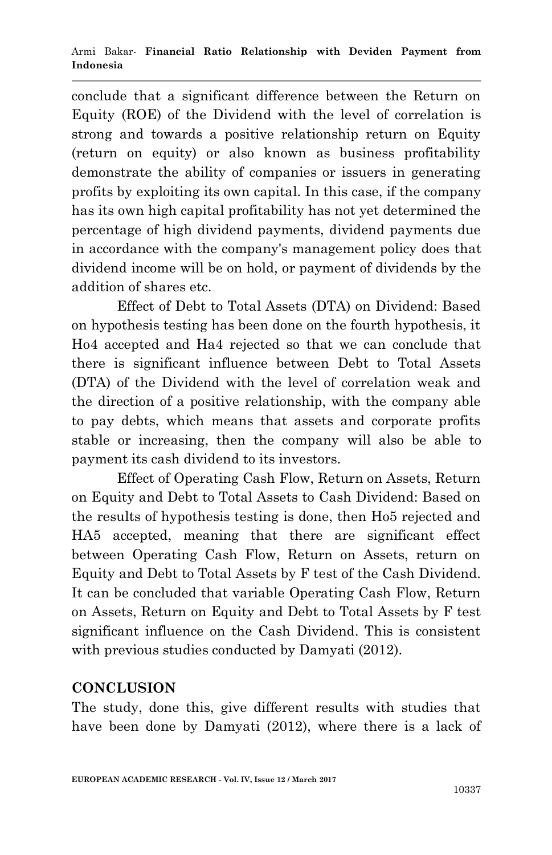conclude that a significant difference between the Return on Equity (ROE) of the Dividend with the level of correlation is strong and towards a positive relationship return on Equity (return on equity) or also known as business profitability demonstrate the ability of companies or issuers in generating profits by exploiting its own capital. In this case, if the company has its own high capital profitability has not yet determined the percentage of high dividend payments, dividend payments due in accordance with the company's management policy does that dividend income will be on hold, or payment of dividends by the addition of shares etc.

Effect of Debt to Total Assets (DTA) on Dividend: Based on hypothesis testing has been done on the fourth hypothesis, it Ho4 accepted and Ha4 rejected so that we can conclude that there is significant influence between Debt to Total Assets (DTA) of the Dividend with the level of correlation weak and the direction of a positive relationship, with the company able to pay debts, which means that assets and corporate profits stable or increasing, then the company will also be able to payment its cash dividend to its investors.

Effect of Operating Cash Flow, Return on Assets, Return on Equity and Debt to Total Assets to Cash Dividend: Based on the results of hypothesis testing is done, then Ho5 rejected and HA5 accepted, meaning that there are significant effect between Operating Cash Flow, Return on Assets, return on Equity and Debt to Total Assets by F test of the Cash Dividend. It can be concluded that variable Operating Cash Flow, Return on Assets, Return on Equity and Debt to Total Assets by F test significant influence on the Cash Dividend. This is consistent with previous studies conducted by Damyati (2012).

## **CONCLUSION**

The study, done this, give different results with studies that have been done by Damyati (2012), where there is a lack of